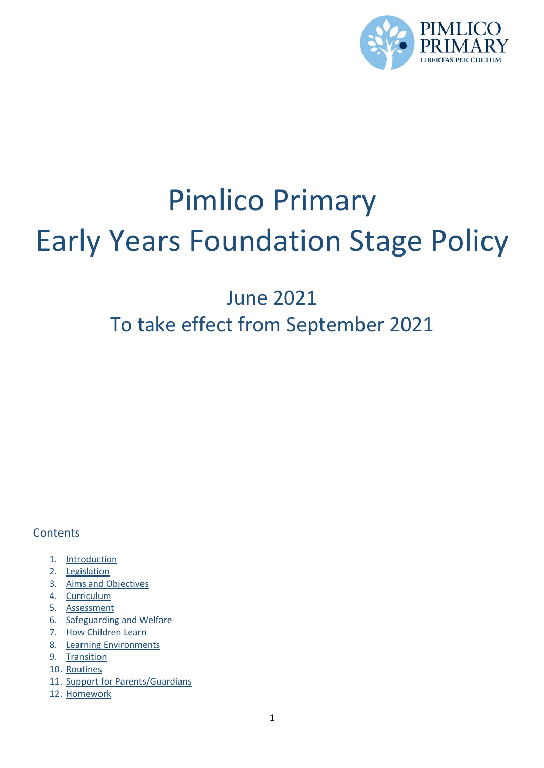

# Pimlico Primary Early Years Foundation Stage Policy

## June 2021 To take effect from September 2021

### **Contents**

- 1. Introduction
- 2. Legislation
- 3. Aims and Objectives
- 4. Curriculum
- 5. Assessment
- 6. Safeguarding and Welfare
- 7. How Children Learn
- 8. Learning Environments
- 9. Transition
- 10. Routines
- 11. Support for Parents/Guardians
- 12. Homework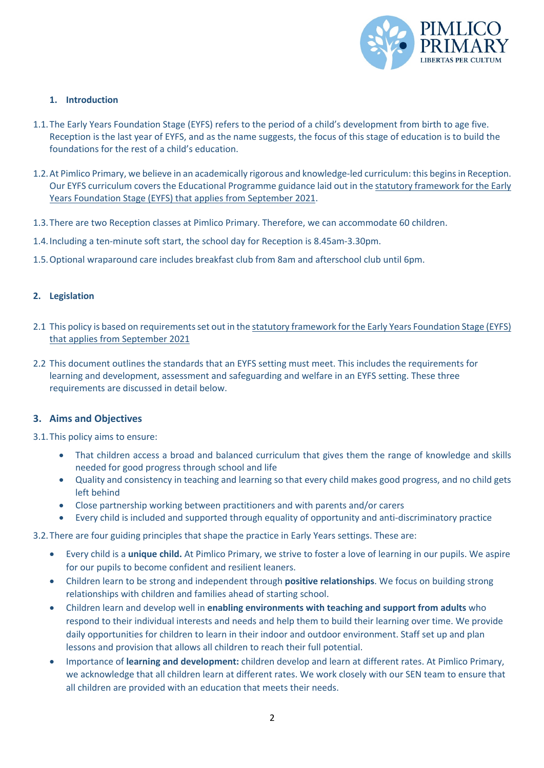

#### **1. Introduction**

- 1.1.The Early Years Foundation Stage (EYFS) refers to the period of a child's development from birth to age five. Reception is the last year of EYFS, and as the name suggests, the focus of this stage of education is to build the foundations for the rest of a child's education.
- 1.2.At Pimlico Primary, we believe in an academically rigorous and knowledge-led curriculum: this begins in Reception. Our EYFS curriculum covers the Educational Programme guidance laid out in the statutory framework for the Early Years Foundation Stage (EYFS) that applies from September 2021.
- 1.3.There are two Reception classes at Pimlico Primary. Therefore, we can accommodate 60 children.
- 1.4.Including a ten-minute soft start, the school day for Reception is 8.45am-3.30pm.
- 1.5.Optional wraparound care includes breakfast club from 8am and afterschool club until 6pm.

#### **2. Legislation**

- 2.1 This policy is based on requirements set out in the statutory framework for the Early Years Foundation Stage (EYFS) that applies from September 2021
- 2.2 This document outlines the standards that an EYFS setting must meet. This includes the requirements for learning and development, assessment and safeguarding and welfare in an EYFS setting. These three requirements are discussed in detail below.

#### **3. Aims and Objectives**

3.1.This policy aims to ensure:

- That children access a broad and balanced curriculum that gives them the range of knowledge and skills needed for good progress through school and life
- Quality and consistency in teaching and learning so that every child makes good progress, and no child gets left behind
- Close partnership working between practitioners and with parents and/or carers
- Every child is included and supported through equality of opportunity and anti-discriminatory practice

#### 3.2.There are four guiding principles that shape the practice in Early Years settings. These are:

- Every child is a **unique child.** At Pimlico Primary, we strive to foster a love of learning in our pupils. We aspire for our pupils to become confident and resilient leaners.
- Children learn to be strong and independent through **positive relationships**. We focus on building strong relationships with children and families ahead of starting school.
- Children learn and develop well in **enabling environments with teaching and support from adults** who respond to their individual interests and needs and help them to build their learning over time. We provide daily opportunities for children to learn in their indoor and outdoor environment. Staff set up and plan lessons and provision that allows all children to reach their full potential.
- Importance of **learning and development:** children develop and learn at different rates. At Pimlico Primary, we acknowledge that all children learn at different rates. We work closely with our SEN team to ensure that all children are provided with an education that meets their needs.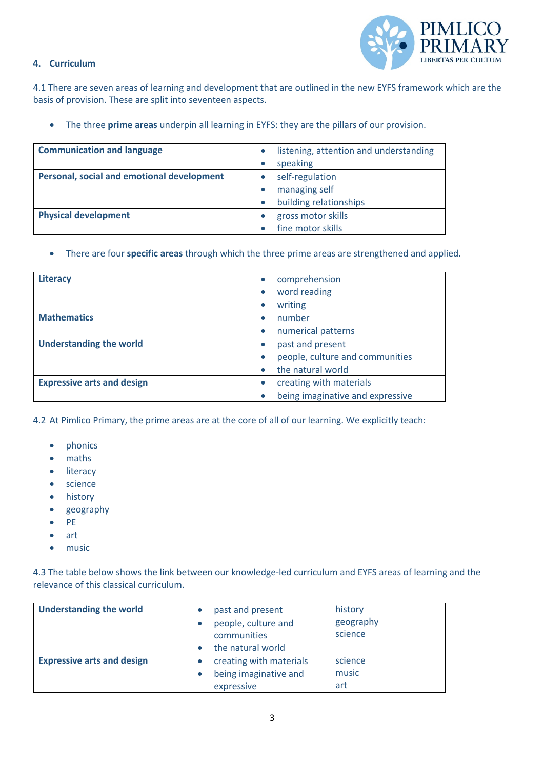

#### **4. Curriculum**

4.1 There are seven areas of learning and development that are outlined in the new EYFS framework which are the basis of provision. These are split into seventeen aspects.

• The three **prime areas** underpin all learning in EYFS: they are the pillars of our provision.

| <b>Communication and language</b>          | listening, attention and understanding |
|--------------------------------------------|----------------------------------------|
|                                            | speaking                               |
| Personal, social and emotional development | self-regulation                        |
|                                            | managing self                          |
|                                            | building relationships                 |
| <b>Physical development</b>                | gross motor skills                     |
|                                            | fine motor skills                      |

• There are four **specific areas** through which the three prime areas are strengthened and applied.

| <b>Literacy</b>                   | comprehension                    |
|-----------------------------------|----------------------------------|
|                                   | word reading                     |
|                                   | writing                          |
| <b>Mathematics</b>                | number                           |
|                                   | numerical patterns               |
| <b>Understanding the world</b>    | past and present                 |
|                                   | people, culture and communities  |
|                                   | the natural world                |
| <b>Expressive arts and design</b> | creating with materials          |
|                                   | being imaginative and expressive |

4.2 At Pimlico Primary, the prime areas are at the core of all of our learning. We explicitly teach:

- phonics
- maths
- literacy
- science
- history
- geography
- PE
- art
- music

4.3 The table below shows the link between our knowledge-led curriculum and EYFS areas of learning and the relevance of this classical curriculum.

| <b>Understanding the world</b>    | past and present<br>people, culture and<br>communities<br>the natural world | history<br>geography<br>science |
|-----------------------------------|-----------------------------------------------------------------------------|---------------------------------|
| <b>Expressive arts and design</b> | creating with materials<br>being imaginative and<br>expressive              | science<br>music<br>art         |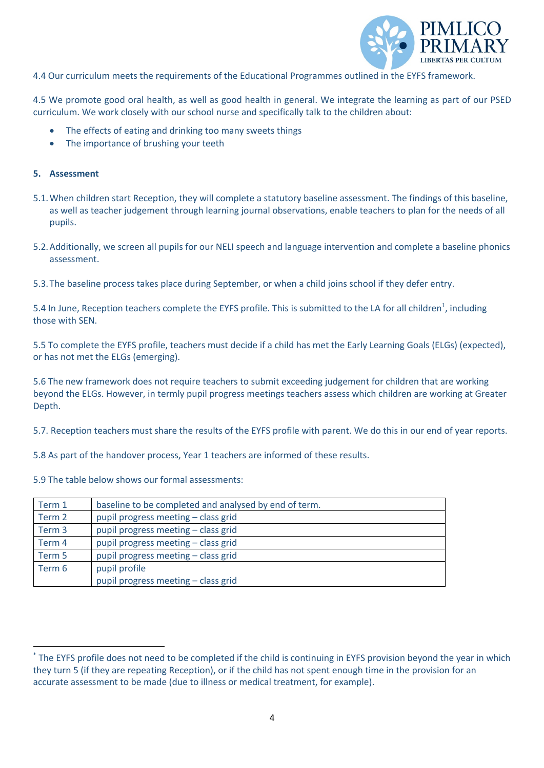

4.4 Our curriculum meets the requirements of the Educational Programmes outlined in the EYFS framework.

4.5 We promote good oral health, as well as good health in general. We integrate the learning as part of our PSED curriculum. We work closely with our school nurse and specifically talk to the children about:

- The effects of eating and drinking too many sweets things
- The importance of brushing your teeth

#### **5. Assessment**

- 5.1.When children start Reception, they will complete a statutory baseline assessment. The findings of this baseline, as well as teacher judgement through learning journal observations, enable teachers to plan for the needs of all pupils.
- 5.2.Additionally, we screen all pupils for our NELI speech and language intervention and complete a baseline phonics assessment.
- 5.3.The baseline process takes place during September, or when a child joins school if they defer entry.

5.4 In June, Reception teachers complete the EYFS profile. This is submitted to the LA for all children<sup>1</sup>, including those with SEN.

5.5 To complete the EYFS profile, teachers must decide if a child has met the Early Learning Goals (ELGs) (expected), or has not met the ELGs (emerging).

5.6 The new framework does not require teachers to submit exceeding judgement for children that are working beyond the ELGs. However, in termly pupil progress meetings teachers assess which children are working at Greater Depth.

5.7. Reception teachers must share the results of the EYFS profile with parent. We do this in our end of year reports.

5.8 As part of the handover process, Year 1 teachers are informed of these results.

5.9 The table below shows our formal assessments:

| Term 1 | baseline to be completed and analysed by end of term. |
|--------|-------------------------------------------------------|
| Term 2 | pupil progress meeting - class grid                   |
| Term 3 | pupil progress meeting - class grid                   |
| Term 4 | pupil progress meeting - class grid                   |
| Term 5 | pupil progress meeting - class grid                   |
| Term 6 | pupil profile                                         |
|        | pupil progress meeting - class grid                   |

<sup>\*</sup> The EYFS profile does not need to be completed if the child is continuing in EYFS provision beyond the year in which they turn 5 (if they are repeating Reception), or if the child has not spent enough time in the provision for an accurate assessment to be made (due to illness or medical treatment, for example).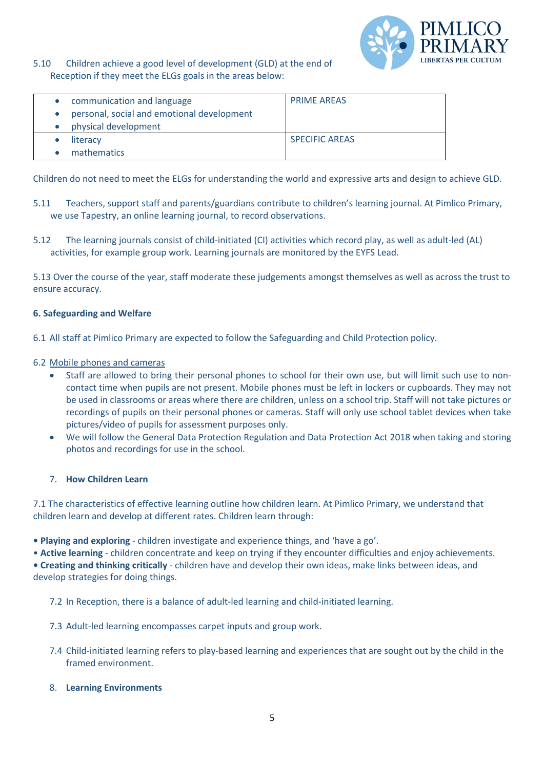

5.10 Children achieve a good level of development (GLD) at the end of Reception if they meet the ELGs goals in the areas below:

| communication and language                 | <b>PRIME AREAS</b>    |
|--------------------------------------------|-----------------------|
| personal, social and emotional development |                       |
| physical development                       |                       |
| literacy                                   | <b>SPECIFIC AREAS</b> |
| mathematics                                |                       |

Children do not need to meet the ELGs for understanding the world and expressive arts and design to achieve GLD.

- 5.11 Teachers, support staff and parents/guardians contribute to children's learning journal. At Pimlico Primary, we use Tapestry, an online learning journal, to record observations.
- 5.12 The learning journals consist of child-initiated (CI) activities which record play, as well as adult-led (AL) activities, for example group work. Learning journals are monitored by the EYFS Lead.

5.13 Over the course of the year, staff moderate these judgements amongst themselves as well as across the trust to ensure accuracy.

#### **6. Safeguarding and Welfare**

- 6.1 All staff at Pimlico Primary are expected to follow the Safeguarding and Child Protection policy.
- 6.2 Mobile phones and cameras
	- Staff are allowed to bring their personal phones to school for their own use, but will limit such use to noncontact time when pupils are not present. Mobile phones must be left in lockers or cupboards. They may not be used in classrooms or areas where there are children, unless on a school trip. Staff will not take pictures or recordings of pupils on their personal phones or cameras. Staff will only use school tablet devices when take pictures/video of pupils for assessment purposes only.
	- We will follow the General Data Protection Regulation and Data Protection Act 2018 when taking and storing photos and recordings for use in the school.

#### 7. **How Children Learn**

7.1 The characteristics of effective learning outline how children learn. At Pimlico Primary, we understand that children learn and develop at different rates. Children learn through:

- **Playing and exploring** children investigate and experience things, and 'have a go'.
- **Active learning** children concentrate and keep on trying if they encounter difficulties and enjoy achievements.

**• Creating and thinking critically** - children have and develop their own ideas, make links between ideas, and develop strategies for doing things.

7.2 In Reception, there is a balance of adult-led learning and child-initiated learning.

- 7.3 Adult-led learning encompasses carpet inputs and group work.
- 7.4 Child-initiated learning refers to play-based learning and experiences that are sought out by the child in the framed environment.
- 8. **Learning Environments**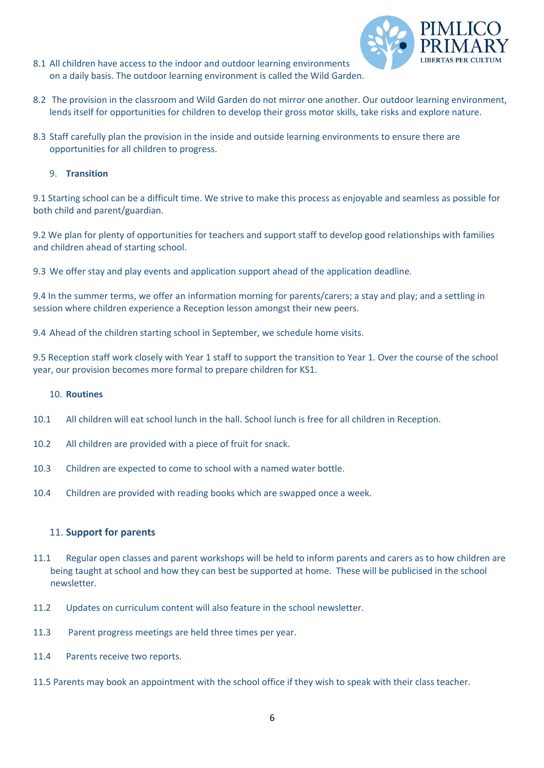8.1 All children have access to the indoor and outdoor learning environments on a daily basis. The outdoor learning environment is called the Wild Garden.



- 8.2 The provision in the classroom and Wild Garden do not mirror one another. Our outdoor learning environment, lends itself for opportunities for children to develop their gross motor skills, take risks and explore nature.
- 8.3 Staff carefully plan the provision in the inside and outside learning environments to ensure there are opportunities for all children to progress.

#### 9. **Transition**

9.1 Starting school can be a difficult time. We strive to make this process as enjoyable and seamless as possible for both child and parent/guardian.

9.2 We plan for plenty of opportunities for teachers and support staff to develop good relationships with families and children ahead of starting school.

9.3 We offer stay and play events and application support ahead of the application deadline.

9.4 In the summer terms, we offer an information morning for parents/carers; a stay and play; and a settling in session where children experience a Reception lesson amongst their new peers.

9.4 Ahead of the children starting school in September, we schedule home visits.

9.5 Reception staff work closely with Year 1 staff to support the transition to Year 1. Over the course of the school year, our provision becomes more formal to prepare children for KS1.

#### 10. **Routines**

- 10.1 All children will eat school lunch in the hall. School lunch is free for all children in Reception.
- 10.2 All children are provided with a piece of fruit for snack.
- 10.3 Children are expected to come to school with a named water bottle.
- 10.4 Children are provided with reading books which are swapped once a week.

#### 11. **Support for parents**

- 11.1 Regular open classes and parent workshops will be held to inform parents and carers as to how children are being taught at school and how they can best be supported at home. These will be publicised in the school newsletter.
- 11.2 Updates on curriculum content will also feature in the school newsletter.
- 11.3 Parent progress meetings are held three times per year.
- 11.4 Parents receive two reports.
- 11.5 Parents may book an appointment with the school office if they wish to speak with their class teacher.